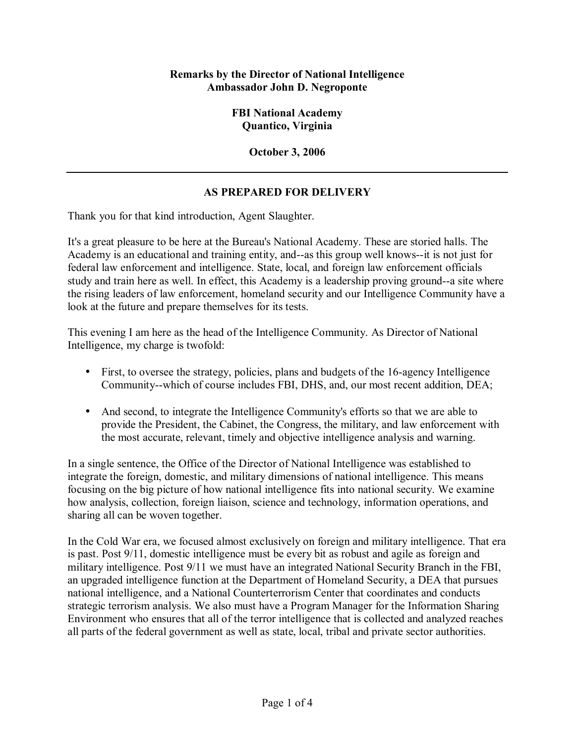## **Remarks by the Director of National Intelligence Ambassador John D. Negroponte**

**FBI National Academy Quantico, Virginia** 

**October 3, 2006** 

## **AS PREPARED FOR DELIVERY**

Thank you for that kind introduction, Agent Slaughter.

It's a great pleasure to be here at the Bureau's National Academy. These are storied halls. The Academy is an educational and training entity, and--as this group well knows--it is not just for federal law enforcement and intelligence. State, local, and foreign law enforcement officials study and train here as well. In effect, this Academy is a leadership proving ground--a site where the rising leaders of law enforcement, homeland security and our Intelligence Community have a look at the future and prepare themselves for its tests.

This evening I am here as the head of the Intelligence Community. As Director of National Intelligence, my charge is twofold:

- First, to oversee the strategy, policies, plans and budgets of the 16-agency Intelligence Community--which of course includes FBI, DHS, and, our most recent addition, DEA;
- And second, to integrate the Intelligence Community's efforts so that we are able to provide the President, the Cabinet, the Congress, the military, and law enforcement with the most accurate, relevant, timely and objective intelligence analysis and warning.

In a single sentence, the Office of the Director of National Intelligence was established to integrate the foreign, domestic, and military dimensions of national intelligence. This means focusing on the big picture of how national intelligence fits into national security. We examine how analysis, collection, foreign liaison, science and technology, information operations, and sharing all can be woven together.

In the Cold War era, we focused almost exclusively on foreign and military intelligence. That era is past. Post 9/11, domestic intelligence must be every bit as robust and agile as foreign and military intelligence. Post 9/11 we must have an integrated National Security Branch in the FBI, an upgraded intelligence function at the Department of Homeland Security, a DEA that pursues national intelligence, and a National Counterterrorism Center that coordinates and conducts strategic terrorism analysis. We also must have a Program Manager for the Information Sharing Environment who ensures that all of the terror intelligence that is collected and analyzed reaches all parts of the federal government as well as state, local, tribal and private sector authorities.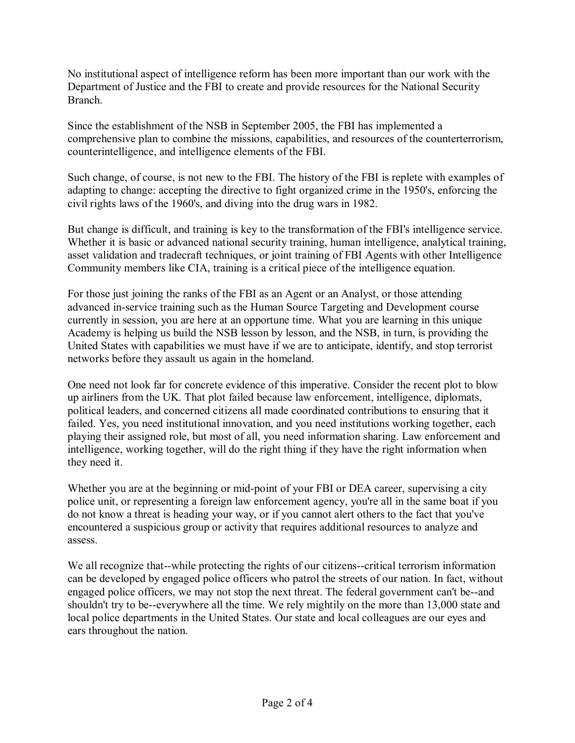No institutional aspect of intelligence reform has been more important than our work with the Department of Justice and the FBI to create and provide resources for the National Security Branch.

Since the establishment of the NSB in September 2005, the FBI has implemented a comprehensive plan to combine the missions, capabilities, and resources of the counterterrorism, counterintelligence, and intelligence elements of the FBI.

Such change, of course, is not new to the FBI. The history of the FBI is replete with examples of adapting to change: accepting the directive to fight organized crime in the 1950's, enforcing the civil rights laws of the 1960's, and diving into the drug wars in 1982.

But change is difficult, and training is key to the transformation of the FBI's intelligence service. Whether it is basic or advanced national security training, human intelligence, analytical training, asset validation and tradecraft techniques, or joint training of FBI Agents with other Intelligence Community members like CIA, training is a critical piece of the intelligence equation.

For those just joining the ranks of the FBI as an Agent or an Analyst, or those attending advanced in-service training such as the Human Source Targeting and Development course currently in session, you are here at an opportune time. What you are learning in this unique Academy is helping us build the NSB lesson by lesson, and the NSB, in turn, is providing the United States with capabilities we must have if we are to anticipate, identify, and stop terrorist networks before they assault us again in the homeland.

One need not look far for concrete evidence of this imperative. Consider the recent plot to blow up airliners from the UK. That plot failed because law enforcement, intelligence, diplomats, political leaders, and concerned citizens all made coordinated contributions to ensuring that it failed. Yes, you need institutional innovation, and you need institutions working together, each playing their assigned role, but most of all, you need information sharing. Law enforcement and intelligence, working together, will do the right thing if they have the right information when they need it.

Whether you are at the beginning or mid-point of your FBI or DEA career, supervising a city police unit, or representing a foreign law enforcement agency, you're all in the same boat if you do not know a threat is heading your way, or if you cannot alert others to the fact that you've encountered a suspicious group or activity that requires additional resources to analyze and assess.

We all recognize that--while protecting the rights of our citizens--critical terrorism information can be developed by engaged police officers who patrol the streets of our nation. In fact, without engaged police officers, we may not stop the next threat. The federal government can't be--and shouldn't try to be--everywhere all the time. We rely mightily on the more than 13,000 state and local police departments in the United States. Our state and local colleagues are our eyes and ears throughout the nation.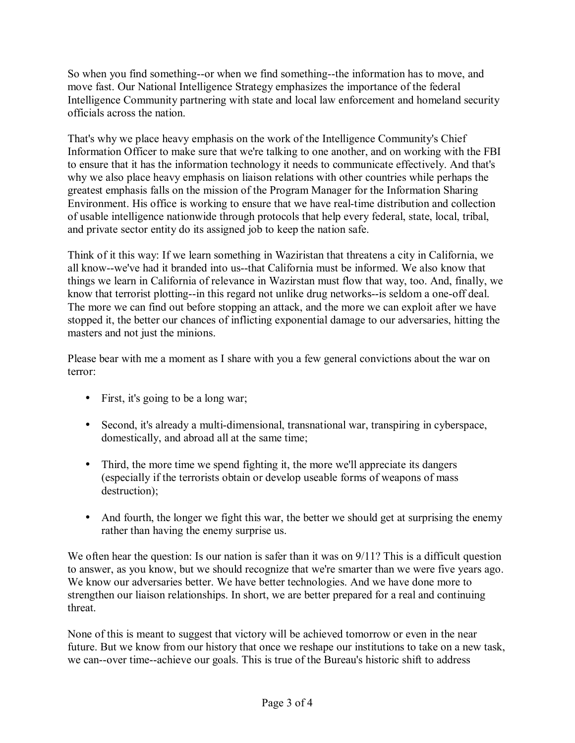So when you find something--or when we find something--the information has to move, and move fast. Our National Intelligence Strategy emphasizes the importance of the federal Intelligence Community partnering with state and local law enforcement and homeland security officials across the nation.

That's why we place heavy emphasis on the work of the Intelligence Community's Chief Information Officer to make sure that we're talking to one another, and on working with the FBI to ensure that it has the information technology it needs to communicate effectively. And that's why we also place heavy emphasis on liaison relations with other countries while perhaps the greatest emphasis falls on the mission of the Program Manager for the Information Sharing Environment. His office is working to ensure that we have real-time distribution and collection of usable intelligence nationwide through protocols that help every federal, state, local, tribal, and private sector entity do its assigned job to keep the nation safe.

Think of it this way: If we learn something in Waziristan that threatens a city in California, we all know--we've had it branded into us--that California must be informed. We also know that things we learn in California of relevance in Wazirstan must flow that way, too. And, finally, we know that terrorist plotting--in this regard not unlike drug networks--is seldom a one-off deal. The more we can find out before stopping an attack, and the more we can exploit after we have stopped it, the better our chances of inflicting exponential damage to our adversaries, hitting the masters and not just the minions.

Please bear with me a moment as I share with you a few general convictions about the war on terror:

- First, it's going to be a long war;
- Second, it's already a multi-dimensional, transnational war, transpiring in cyberspace, domestically, and abroad all at the same time;
- Third, the more time we spend fighting it, the more we'll appreciate its dangers (especially if the terrorists obtain or develop useable forms of weapons of mass destruction);
- And fourth, the longer we fight this war, the better we should get at surprising the enemy rather than having the enemy surprise us.

We often hear the question: Is our nation is safer than it was on 9/11? This is a difficult question to answer, as you know, but we should recognize that we're smarter than we were five years ago. We know our adversaries better. We have better technologies. And we have done more to strengthen our liaison relationships. In short, we are better prepared for a real and continuing threat.

None of this is meant to suggest that victory will be achieved tomorrow or even in the near future. But we know from our history that once we reshape our institutions to take on a new task, we can--over time--achieve our goals. This is true of the Bureau's historic shift to address